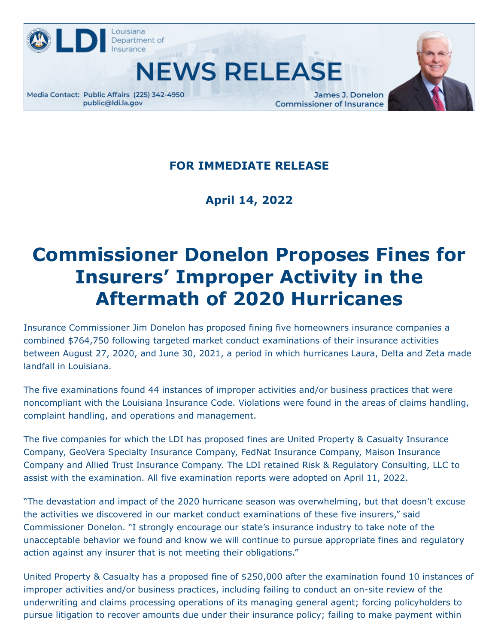

**NEWS RELEASE** 



James J. Donelon **Commissioner of Insurance** 



## **FOR IMMEDIATE RELEASE**

**April 14, 2022**

## **Commissioner Donelon Proposes Fines for Insurers' Improper Activity in the Aftermath of 2020 Hurricanes**

Insurance Commissioner Jim Donelon has proposed fining five homeowners insurance companies a combined \$764,750 following targeted market conduct examinations of their insurance activities between August 27, 2020, and June 30, 2021, a period in which hurricanes Laura, Delta and Zeta made landfall in Louisiana.

The five examinations found 44 instances of improper activities and/or business practices that were noncompliant with the Louisiana Insurance Code. Violations were found in the areas of claims handling, complaint handling, and operations and management.

The five companies for which the LDI has proposed fines are United Property & Casualty Insurance Company, GeoVera Specialty Insurance Company, FedNat Insurance Company, Maison Insurance Company and Allied Trust Insurance Company. The LDI retained Risk & Regulatory Consulting, LLC to assist with the examination. All five examination reports were adopted on April 11, 2022.

"The devastation and impact of the 2020 hurricane season was overwhelming, but that doesn't excuse the activities we discovered in our market conduct examinations of these five insurers," said Commissioner Donelon. "I strongly encourage our state's insurance industry to take note of the unacceptable behavior we found and know we will continue to pursue appropriate fines and regulatory action against any insurer that is not meeting their obligations."

United Property & Casualty has a proposed fine of \$250,000 after the examination found 10 instances of improper activities and/or business practices, including failing to conduct an on-site review of the underwriting and claims processing operations of its managing general agent; forcing policyholders to pursue litigation to recover amounts due under their insurance policy; failing to make payment within